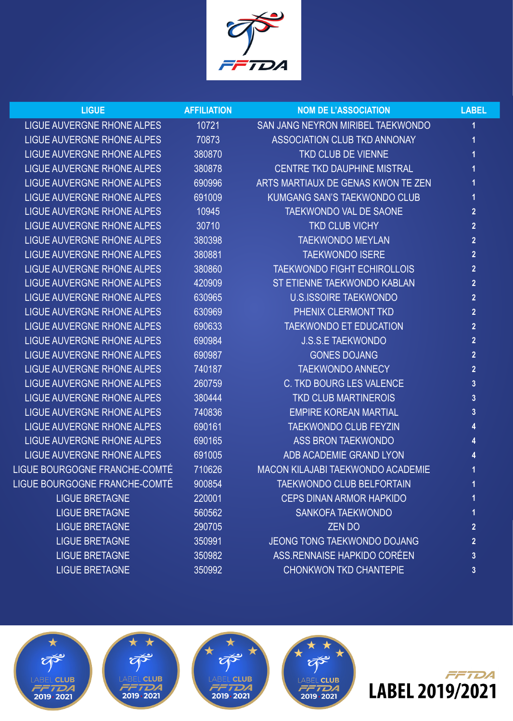

| <b>LIGUE</b>                      | <b>AFFILIATION</b> | <b>NOM DE L'ASSOCIATION</b>         | <b>LABEL</b>            |
|-----------------------------------|--------------------|-------------------------------------|-------------------------|
| <b>LIGUE AUVERGNE RHONE ALPES</b> | 10721              | SAN JANG NEYRON MIRIBEL TAEKWONDO   | 1                       |
| LIGUE AUVERGNE RHONE ALPES        | 70873              | ASSOCIATION CLUB TKD ANNONAY        | 1                       |
| <b>LIGUE AUVERGNE RHONE ALPES</b> | 380870             | <b>TKD CLUB DE VIENNE</b>           | 1                       |
| <b>LIGUE AUVERGNE RHONE ALPES</b> | 380878             | <b>CENTRE TKD DAUPHINE MISTRAL</b>  |                         |
| <b>LIGUE AUVERGNE RHONE ALPES</b> | 690996             | ARTS MARTIAUX DE GENAS KWON TE ZEN  |                         |
| <b>LIGUE AUVERGNE RHONE ALPES</b> | 691009             | <b>KUMGANG SAN'S TAEKWONDO CLUB</b> | 1                       |
| <b>LIGUE AUVERGNE RHONE ALPES</b> | 10945              | <b>TAEKWONDO VAL DE SAONE</b>       | $\overline{2}$          |
| <b>LIGUE AUVERGNE RHONE ALPES</b> | 30710              | <b>TKD CLUB VICHY</b>               | $\overline{2}$          |
| <b>LIGUE AUVERGNE RHONE ALPES</b> | 380398             | <b>TAEKWONDO MEYLAN</b>             | $\overline{2}$          |
| <b>LIGUE AUVERGNE RHONE ALPES</b> | 380881             | <b>TAEKWONDO ISERE</b>              | $\overline{2}$          |
| <b>LIGUE AUVERGNE RHONE ALPES</b> | 380860             | <b>TAEKWONDO FIGHT ECHIROLLOIS</b>  | $\overline{2}$          |
| <b>LIGUE AUVERGNE RHONE ALPES</b> | 420909             | ST ETIENNE TAEKWONDO KABLAN         | $\overline{2}$          |
| LIGUE AUVERGNE RHONE ALPES        | 630965             | <b>U.S.ISSOIRE TAEKWONDO</b>        | $\overline{2}$          |
| <b>LIGUE AUVERGNE RHONE ALPES</b> | 630969             | PHENIX CLERMONT TKD                 | $\overline{2}$          |
| <b>LIGUE AUVERGNE RHONE ALPES</b> | 690633             | <b>TAEKWONDO ET EDUCATION</b>       | $\overline{2}$          |
| <b>LIGUE AUVERGNE RHONE ALPES</b> | 690984             | <b>J.S.S.E TAEKWONDO</b>            | $\overline{2}$          |
| <b>LIGUE AUVERGNE RHONE ALPES</b> | 690987             | <b>GONES DOJANG</b>                 | $\overline{2}$          |
| <b>LIGUE AUVERGNE RHONE ALPES</b> | 740187             | <b>TAEKWONDO ANNECY</b>             | $\overline{2}$          |
| <b>LIGUE AUVERGNE RHONE ALPES</b> | 260759             | <b>C. TKD BOURG LES VALENCE</b>     | $\overline{3}$          |
| <b>LIGUE AUVERGNE RHONE ALPES</b> | 380444             | <b>TKD CLUB MARTINEROIS</b>         | 3                       |
| <b>LIGUE AUVERGNE RHONE ALPES</b> | 740836             | <b>EMPIRE KOREAN MARTIAL</b>        | $\overline{3}$          |
| LIGUE AUVERGNE RHONE ALPES        | 690161             | <b>TAEKWONDO CLUB FEYZIN</b>        |                         |
| <b>LIGUE AUVERGNE RHONE ALPES</b> | 690165             | <b>ASS BRON TAEKWONDO</b>           |                         |
| <b>LIGUE AUVERGNE RHONE ALPES</b> | 691005             | ADB ACADEMIE GRAND LYON             |                         |
| LIGUE BOURGOGNE FRANCHE-COMTÉ     | 710626             | MACON KILAJABI TAEKWONDO ACADEMIE   |                         |
| LIGUE BOURGOGNE FRANCHE-COMTÉ     | 900854             | TAEKWONDO CLUB BELFORTAIN           | 1                       |
| <b>LIGUE BRETAGNE</b>             | 220001             | <b>CEPS DINAN ARMOR HAPKIDO</b>     | 1                       |
| <b>LIGUE BRETAGNE</b>             | 560562             | <b>SANKOFA TAEKWONDO</b>            | 1                       |
| <b>LIGUE BRETAGNE</b>             | 290705             | <b>ZENDO</b>                        | $\overline{2}$          |
| <b>LIGUE BRETAGNE</b>             | 350991             | <b>JEONG TONG TAEKWONDO DOJANG</b>  | $\overline{2}$          |
| <b>LIGUE BRETAGNE</b>             | 350982             | ASS.RENNAISE HAPKIDO CORÉEN         | $\overline{3}$          |
| <b>LIGUE BRETAGNE</b>             | 350992             | <b>CHONKWON TKD CHANTEPIE</b>       | $\overline{\mathbf{3}}$ |
|                                   |                    |                                     |                         |









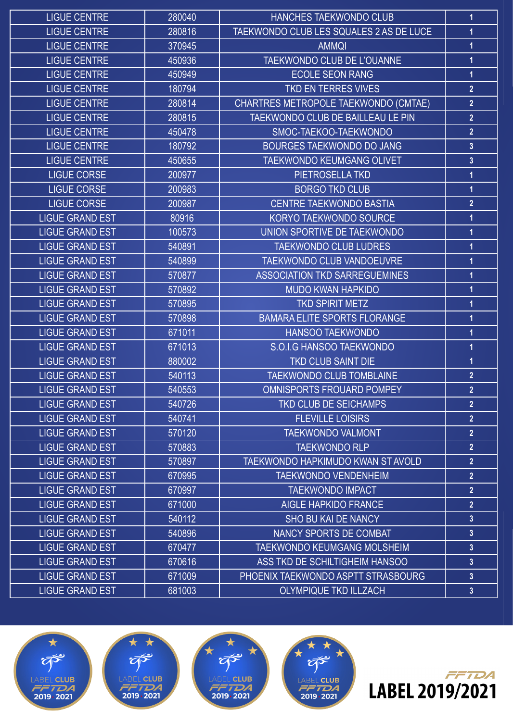| <b>LIGUE CENTRE</b>    | 280040 | <b>HANCHES TAEKWONDO CLUB</b>           | 1                       |
|------------------------|--------|-----------------------------------------|-------------------------|
| <b>LIGUE CENTRE</b>    | 280816 | TAEKWONDO CLUB LES SQUALES 2 AS DE LUCE | $\overline{1}$          |
| <b>LIGUE CENTRE</b>    | 370945 | <b>AMMQI</b>                            | 1                       |
| <b>LIGUE CENTRE</b>    | 450936 | TAEKWONDO CLUB DE L'OUANNE              | 1                       |
| <b>LIGUE CENTRE</b>    | 450949 | <b>ECOLE SEON RANG</b>                  | $\overline{1}$          |
| <b>LIGUE CENTRE</b>    | 180794 | TKD EN TERRES VIVES                     | $\overline{2}$          |
| <b>LIGUE CENTRE</b>    | 280814 | CHARTRES METROPOLE TAEKWONDO (CMTAE)    | $\overline{2}$          |
| <b>LIGUE CENTRE</b>    | 280815 | TAEKWONDO CLUB DE BAILLEAU LE PIN       | $\overline{2}$          |
| <b>LIGUE CENTRE</b>    | 450478 | SMOC-TAEKOO-TAEKWONDO                   | $\overline{2}$          |
| <b>LIGUE CENTRE</b>    | 180792 | <b>BOURGES TAEKWONDO DO JANG</b>        | $\overline{3}$          |
| <b>LIGUE CENTRE</b>    | 450655 | <b>TAEKWONDO KEUMGANG OLIVET</b>        | $\overline{3}$          |
| <b>LIGUE CORSE</b>     | 200977 | PIETROSELLA TKD                         | 1                       |
| <b>LIGUE CORSE</b>     | 200983 | <b>BORGO TKD CLUB</b>                   | 1                       |
| <b>LIGUE CORSE</b>     | 200987 | <b>CENTRE TAEKWONDO BASTIA</b>          | $\overline{2}$          |
| <b>LIGUE GRAND EST</b> | 80916  | KORYO TAEKWONDO SOURCE                  | 1                       |
| <b>LIGUE GRAND EST</b> | 100573 | UNION SPORTIVE DE TAEKWONDO             | $\overline{\mathbf{1}}$ |
| <b>LIGUE GRAND EST</b> | 540891 | <b>TAEKWONDO CLUB LUDRES</b>            | 1                       |
| <b>LIGUE GRAND EST</b> | 540899 | TAEKWONDO CLUB VANDOEUVRE               | 1                       |
| <b>LIGUE GRAND EST</b> | 570877 | <b>ASSOCIATION TKD SARREGUEMINES</b>    | 1                       |
| <b>LIGUE GRAND EST</b> | 570892 | <b>MUDO KWAN HAPKIDO</b>                | 1                       |
| <b>LIGUE GRAND EST</b> | 570895 | <b>TKD SPIRIT METZ</b>                  | 1                       |
| <b>LIGUE GRAND EST</b> | 570898 | <b>BAMARA ELITE SPORTS FLORANGE</b>     | 1                       |
| <b>LIGUE GRAND EST</b> | 671011 | <b>HANSOO TAEKWONDO</b>                 | 1                       |
| <b>LIGUE GRAND EST</b> | 671013 | S.O.I.G HANSOO TAEKWONDO                | 1                       |
| <b>LIGUE GRAND EST</b> | 880002 | <b>TKD CLUB SAINT DIE</b>               | 1                       |
| <b>LIGUE GRAND EST</b> | 540113 | <b>TAEKWONDO CLUB TOMBLAINE</b>         | $\overline{2}$          |
| <b>LIGUE GRAND EST</b> | 540553 | OMNISPORTS FROUARD POMPEY               | $\overline{2}$          |
| <b>LIGUE GRAND EST</b> | 540726 | <b>TKD CLUB DE SEICHAMPS</b>            | $\overline{2}$          |
| <b>LIGUE GRAND EST</b> | 540741 | <b>FLEVILLE LOISIRS</b>                 | $\overline{2}$          |
| <b>LIGUE GRAND EST</b> | 570120 | <b>TAEKWONDO VALMONT</b>                | $\overline{2}$          |
| <b>LIGUE GRAND EST</b> | 570883 | <b>TAEKWONDO RLP</b>                    | $\overline{2}$          |
| <b>LIGUE GRAND EST</b> | 570897 | TAEKWONDO HAPKIMUDO KWAN ST AVOLD       | $\overline{2}$          |
| <b>LIGUE GRAND EST</b> | 670995 | <b>TAEKWONDO VENDENHEIM</b>             | $\overline{2}$          |
| <b>LIGUE GRAND EST</b> | 670997 | <b>TAEKWONDO IMPACT</b>                 | $\overline{2}$          |
| <b>LIGUE GRAND EST</b> | 671000 | <b>AIGLE HAPKIDO FRANCE</b>             | $\overline{2}$          |
| <b>LIGUE GRAND EST</b> | 540112 | <b>SHO BU KAI DE NANCY</b>              | $\mathbf{3}$            |
| <b>LIGUE GRAND EST</b> | 540896 | NANCY SPORTS DE COMBAT                  | $\mathbf{3}$            |
| <b>LIGUE GRAND EST</b> | 670477 | <b>TAEKWONDO KEUMGANG MOLSHEIM</b>      | $\mathbf{3}$            |
| <b>LIGUE GRAND EST</b> | 670616 | ASS TKD DE SCHILTIGHEIM HANSOO          | $\overline{3}$          |
| <b>LIGUE GRAND EST</b> | 671009 | PHOENIX TAEKWONDO ASPTT STRASBOURG      | $\mathbf{3}$            |
| <b>LIGUE GRAND EST</b> | 681003 | <b>OLYMPIQUE TKD ILLZACH</b>            | $\mathbf{3}$            |









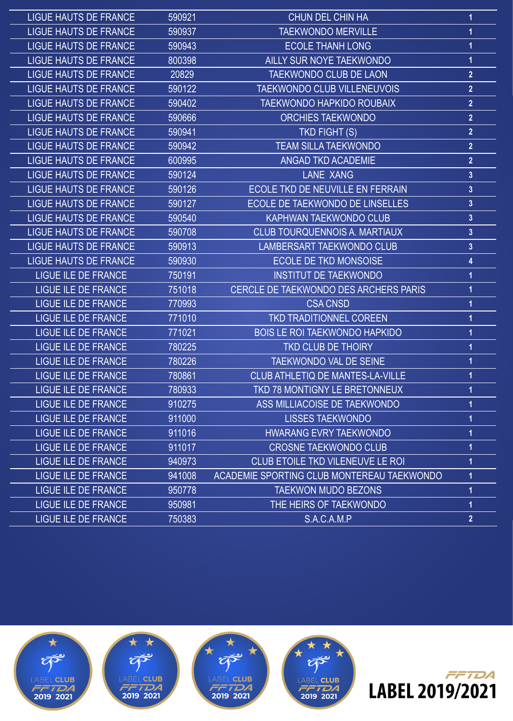| <b>LIGUE HAUTS DE FRANCE</b> | 590921 | CHUN DEL CHIN HA                                  | 1                       |
|------------------------------|--------|---------------------------------------------------|-------------------------|
| <b>LIGUE HAUTS DE FRANCE</b> | 590937 | <b>TAEKWONDO MERVILLE</b>                         | 1                       |
| <b>LIGUE HAUTS DE FRANCE</b> | 590943 | <b>ECOLE THANH LONG</b>                           | 1                       |
| <b>LIGUE HAUTS DE FRANCE</b> | 800398 | <b>AILLY SUR NOYE TAEKWONDO</b>                   | 1                       |
| <b>LIGUE HAUTS DE FRANCE</b> | 20829  | <b>TAEKWONDO CLUB DE LAON</b>                     | $\overline{2}$          |
| <b>LIGUE HAUTS DE FRANCE</b> | 590122 | <b>TAEKWONDO CLUB VILLENEUVOIS</b>                | $\overline{2}$          |
| <b>LIGUE HAUTS DE FRANCE</b> | 590402 | <b>TAEKWONDO HAPKIDO ROUBAIX</b>                  | $\overline{2}$          |
| <b>LIGUE HAUTS DE FRANCE</b> | 590666 | <b>ORCHIES TAEKWONDO</b>                          | $\overline{2}$          |
| <b>LIGUE HAUTS DE FRANCE</b> | 590941 | <b>TKD FIGHT (S)</b>                              | $\overline{2}$          |
| <b>LIGUE HAUTS DE FRANCE</b> | 590942 | <b>TEAM SILLA TAEKWONDO</b>                       | $\overline{2}$          |
| <b>LIGUE HAUTS DE FRANCE</b> | 600995 | <b>ANGAD TKD ACADEMIE</b>                         | $\overline{2}$          |
| <b>LIGUE HAUTS DE FRANCE</b> | 590124 | <b>LANE XANG</b>                                  | $\overline{3}$          |
| <b>LIGUE HAUTS DE FRANCE</b> | 590126 | <b>ECOLE TKD DE NEUVILLE EN FERRAIN</b>           | $\mathbf{3}$            |
| <b>LIGUE HAUTS DE FRANCE</b> | 590127 | ECOLE DE TAEKWONDO DE LINSELLES                   | $\overline{3}$          |
| <b>LIGUE HAUTS DE FRANCE</b> | 590540 | <b>KAPHWAN TAEKWONDO CLUB</b>                     | $\overline{\mathbf{3}}$ |
| <b>LIGUE HAUTS DE FRANCE</b> | 590708 | <b>CLUB TOURQUENNOIS A. MARTIAUX</b>              | $\mathbf{3}$            |
| <b>LIGUE HAUTS DE FRANCE</b> | 590913 | <b>LAMBERSART TAEKWONDO CLUB</b>                  | $\mathbf{3}$            |
| <b>LIGUE HAUTS DE FRANCE</b> | 590930 | <b>ECOLE DE TKD MONSOISE</b>                      | 4                       |
| <b>LIGUE ILE DE FRANCE</b>   | 750191 | <b>INSTITUT DE TAEKWONDO</b>                      |                         |
| <b>LIGUE ILE DE FRANCE</b>   | 751018 | CERCLE DE TAEKWONDO DES ARCHERS PARIS             |                         |
| <b>LIGUE ILE DE FRANCE</b>   | 770993 | <b>CSA CNSD</b>                                   |                         |
| <b>LIGUE ILE DE FRANCE</b>   | 771010 | <b>TKD TRADITIONNEL COREEN</b>                    | 1                       |
| <b>LIGUE ILE DE FRANCE</b>   | 771021 | <b>BOIS LE ROI TAEKWONDO HAPKIDO</b>              | 1                       |
| <b>LIGUE ILE DE FRANCE</b>   | 780225 | <b>TKD CLUB DE THOIRY</b>                         | 1                       |
| <b>LIGUE ILE DE FRANCE</b>   | 780226 | <b>TAEKWONDO VAL DE SEINE</b>                     |                         |
| <b>LIGUE ILE DE FRANCE</b>   | 780861 | CLUB ATHLETIQ DE MANTES-LA-VILLE                  |                         |
| LIGUE ILE DE FRANCE          | 780933 | TKD 78 MONTIGNY LE BRETONNEUX                     |                         |
| LIGUE ILE DE FRANCE          | 910275 | ASS MILLIACOISE DE TAEKWONDO                      | 1                       |
| LIGUE ILE DE FRANCE          | 911000 | <b>LISSES TAEKWONDO</b>                           | 1                       |
| <b>LIGUE ILE DE FRANCE</b>   | 911016 | <b>HWARANG EVRY TAEKWONDO</b>                     |                         |
| <b>LIGUE ILE DE FRANCE</b>   | 911017 | <b>CROSNE TAEKWONDO CLUB</b>                      | 1                       |
| LIGUE ILE DE FRANCE          | 940973 | <b>CLUB ETOILE TKD VILENEUVE LE ROI</b>           |                         |
| <b>LIGUE ILE DE FRANCE</b>   | 941008 | <b>ACADEMIE SPORTING CLUB MONTEREAU TAEKWONDO</b> | 1                       |
| LIGUE ILE DE FRANCE          | 950778 | <b>TAEKWON MUDO BEZONS</b>                        | 1                       |
| LIGUE ILE DE FRANCE          | 950981 | THE HEIRS OF TAEKWONDO                            | 1                       |
| <b>LIGUE ILE DE FRANCE</b>   | 750383 | S.A.C.A.M.P                                       | $\overline{2}$          |



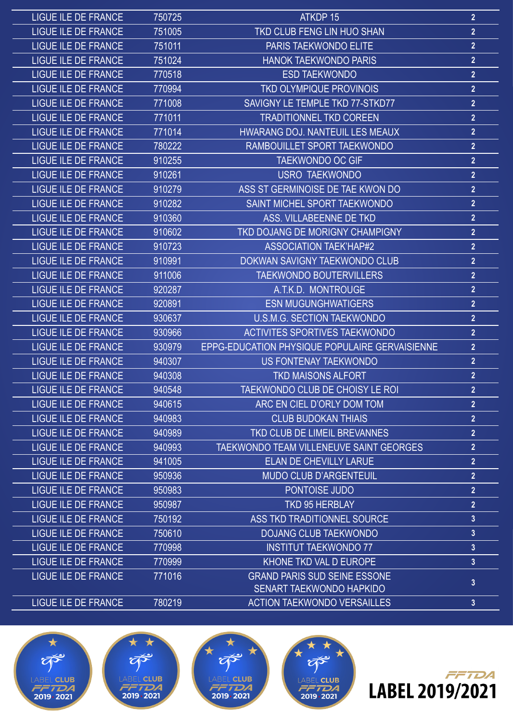| <b>LIGUE ILE DE FRANCE</b> | 750725 | ATKDP 15                                       | 2 <sup>1</sup>          |
|----------------------------|--------|------------------------------------------------|-------------------------|
| <b>LIGUE ILE DE FRANCE</b> | 751005 | <b>TKD CLUB FENG LIN HUO SHAN</b>              | $\overline{2}$          |
| <b>LIGUE ILE DE FRANCE</b> | 751011 | PARIS TAEKWONDO ELITE                          | $\overline{2}$          |
| <b>LIGUE ILE DE FRANCE</b> | 751024 | <b>HANOK TAEKWONDO PARIS</b>                   | $\overline{2}$          |
| <b>LIGUE ILE DE FRANCE</b> | 770518 | <b>ESD TAEKWONDO</b>                           | $\overline{2}$          |
| LIGUE ILE DE FRANCE        | 770994 | <b>TKD OLYMPIQUE PROVINOIS</b>                 | $\overline{2}$          |
| <b>LIGUE ILE DE FRANCE</b> | 771008 | SAVIGNY LE TEMPLE TKD 77-STKD77                | $\overline{2}$          |
| <b>LIGUE ILE DE FRANCE</b> | 771011 | <b>TRADITIONNEL TKD COREEN</b>                 | $\overline{2}$          |
| <b>LIGUE ILE DE FRANCE</b> | 771014 | HWARANG DOJ. NANTEUIL LES MEAUX                | $\overline{2}$          |
| <b>LIGUE ILE DE FRANCE</b> | 780222 | RAMBOUILLET SPORT TAEKWONDO                    | $\overline{2}$          |
| <b>LIGUE ILE DE FRANCE</b> | 910255 | <b>TAEKWONDO OC GIF</b>                        | $\overline{2}$          |
| <b>LIGUE ILE DE FRANCE</b> | 910261 | <b>USRO TAEKWONDO</b>                          | $\overline{2}$          |
| <b>LIGUE ILE DE FRANCE</b> | 910279 | ASS ST GERMINOISE DE TAE KWON DO               | $\overline{2}$          |
| <b>LIGUE ILE DE FRANCE</b> | 910282 | SAINT MICHEL SPORT TAEKWONDO                   | $\overline{2}$          |
| <b>LIGUE ILE DE FRANCE</b> | 910360 | ASS. VILLABEENNE DE TKD                        | $\overline{2}$          |
| <b>LIGUE ILE DE FRANCE</b> | 910602 | TKD DOJANG DE MORIGNY CHAMPIGNY                | $\overline{2}$          |
| <b>LIGUE ILE DE FRANCE</b> | 910723 | <b>ASSOCIATION TAEK'HAP#2</b>                  | $\overline{2}$          |
| <b>LIGUE ILE DE FRANCE</b> | 910991 | DOKWAN SAVIGNY TAEKWONDO CLUB                  | $\overline{2}$          |
| <b>LIGUE ILE DE FRANCE</b> | 911006 | <b>TAEKWONDO BOUTERVILLERS</b>                 | $\overline{2}$          |
| <b>LIGUE ILE DE FRANCE</b> | 920287 | A.T.K.D. MONTROUGE                             | $\overline{2}$          |
| LIGUE ILE DE FRANCE        | 920891 | <b>ESN MUGUNGHWATIGERS</b>                     | $\overline{2}$          |
| <b>LIGUE ILE DE FRANCE</b> | 930637 | <b>U.S.M.G. SECTION TAEKWONDO</b>              | $\overline{2}$          |
| <b>LIGUE ILE DE FRANCE</b> | 930966 | <b>ACTIVITES SPORTIVES TAEKWONDO</b>           | $\overline{2}$          |
| <b>LIGUE ILE DE FRANCE</b> | 930979 | EPPG-EDUCATION PHYSIQUE POPULAIRE GERVAISIENNE | $\overline{2}$          |
| <b>LIGUE ILE DE FRANCE</b> | 940307 | <b>US FONTENAY TAEKWONDO</b>                   | $\overline{2}$          |
| <b>LIGUE ILE DE FRANCE</b> | 940308 | <b>TKD MAISONS ALFORT</b>                      | $\overline{2}$          |
| LIGUE ILE DE FRANCE        | 940548 | <b>TAEKWONDO CLUB DE CHOISY LE ROI</b>         | $\overline{\mathbf{z}}$ |
| LIGUE ILE DE FRANCE        | 940615 | ARC EN CIEL D'ORLY DOM TOM                     | 2 <sup>2</sup>          |
| LIGUE ILE DE FRANCE        | 940983 | <b>CLUB BUDOKAN THIAIS</b>                     | $\overline{2}$          |
| <b>LIGUE ILE DE FRANCE</b> | 940989 | TKD CLUB DE LIMEIL BREVANNES                   | $\overline{2}$          |
| <b>LIGUE ILE DE FRANCE</b> | 940993 | TAEKWONDO TEAM VILLENEUVE SAINT GEORGES        | $\overline{2}$          |
| <b>LIGUE ILE DE FRANCE</b> | 941005 | <b>ELAN DE CHEVILLY LARUE</b>                  | $\overline{2}$          |
| <b>LIGUE ILE DE FRANCE</b> | 950936 | <b>MUDO CLUB D'ARGENTEUIL</b>                  | $\overline{2}$          |
| <b>LIGUE ILE DE FRANCE</b> | 950983 | PONTOISE JUDO                                  | $\overline{2}$          |
| LIGUE ILE DE FRANCE        | 950987 | <b>TKD 95 HERBLAY</b>                          | $\overline{2}$          |
| <b>LIGUE ILE DE FRANCE</b> | 750192 | ASS TKD TRADITIONNEL SOURCE                    | $\overline{3}$          |
| <b>LIGUE ILE DE FRANCE</b> | 750610 | <b>DOJANG CLUB TAEKWONDO</b>                   | $\mathbf{3}$            |
| <b>LIGUE ILE DE FRANCE</b> | 770998 | <b>INSTITUT TAEKWONDO 77</b>                   | $\overline{3}$          |
| <b>LIGUE ILE DE FRANCE</b> | 770999 | KHONE TKD VAL D EUROPE                         | $\overline{3}$          |
| <b>LIGUE ILE DE FRANCE</b> | 771016 | <b>GRAND PARIS SUD SEINE ESSONE</b>            | $\overline{3}$          |
|                            |        | SENART TAEKWONDO HAPKIDO                       |                         |
| LIGUE ILE DE FRANCE        | 780219 | <b>ACTION TAEKWONDO VERSAILLES</b>             | $\mathbf{3}$            |









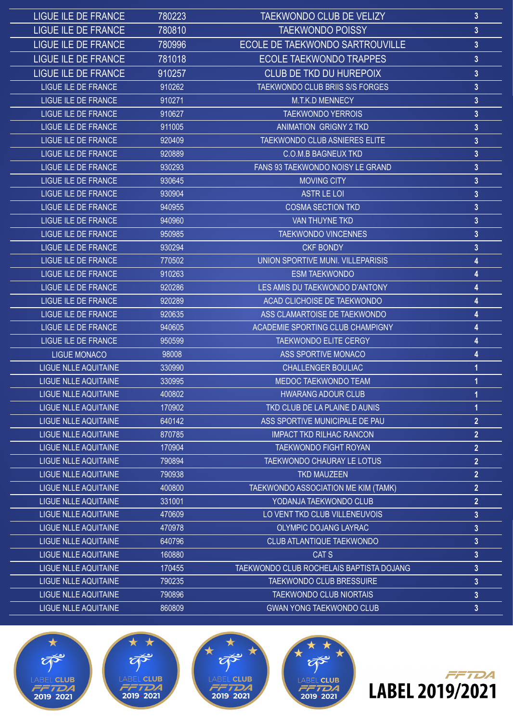| LIGUE ILE DE FRANCE         | 780223 | <b>TAEKWONDO CLUB DE VELIZY</b>                 | $\mathbf{3}$            |
|-----------------------------|--------|-------------------------------------------------|-------------------------|
| <b>LIGUE ILE DE FRANCE</b>  | 780810 | <b>TAEKWONDO POISSY</b>                         | $\mathbf{3}$            |
| <b>LIGUE ILE DE FRANCE</b>  | 780996 | ECOLE DE TAEKWONDO SARTROUVILLE                 | $\overline{3}$          |
| <b>LIGUE ILE DE FRANCE</b>  | 781018 | <b>ECOLE TAEKWONDO TRAPPES</b>                  | $\mathbf{3}$            |
| <b>LIGUE ILE DE FRANCE</b>  | 910257 | <b>CLUB DE TKD DU HUREPOIX</b>                  | 3                       |
| LIGUE ILE DE FRANCE         | 910262 | TAEKWONDO CLUB BRIIS S/S FORGES                 | $\mathbf{3}$            |
| LIGUE ILE DE FRANCE         | 910271 | <b>M.T.K.D MENNECY</b>                          | $\overline{3}$          |
| LIGUE ILE DE FRANCE         | 910627 | <b>TAEKWONDO YERROIS</b>                        | 3                       |
| LIGUE ILE DE FRANCE         | 911005 | <b>ANIMATION GRIGNY 2 TKD</b>                   | $\mathbf{3}$            |
| LIGUE ILE DE FRANCE         | 920409 | TAEKWONDO CLUB ASNIERES ELITE                   | $\mathbf{3}$            |
| LIGUE ILE DE FRANCE         | 920889 | <b>C.O.M.B BAGNEUX TKD</b>                      | $\mathbf{3}$            |
| LIGUE ILE DE FRANCE         | 930293 | FANS 93 TAEKWONDO NOISY LE GRAND                | $\overline{3}$          |
| LIGUE ILE DE FRANCE         | 930645 | <b>MOVING CITY</b>                              | 3                       |
| LIGUE ILE DE FRANCE         | 930904 | <b>ASTR LE LOI</b>                              | $\overline{3}$          |
| <b>LIGUE ILE DE FRANCE</b>  | 940955 | <b>COSMA SECTION TKD</b>                        | 3                       |
| LIGUE ILE DE FRANCE         | 940960 | <b>VAN THUYNE TKD</b>                           | $\mathbf{3}$            |
| <b>LIGUE ILE DE FRANCE</b>  | 950985 | <b>TAEKWONDO VINCENNES</b>                      | $\overline{3}$          |
| LIGUE ILE DE FRANCE         | 930294 | <b>CKF BONDY</b>                                | 3                       |
| LIGUE ILE DE FRANCE         | 770502 | UNION SPORTIVE MUNI. VILLEPARISIS               | 4                       |
| LIGUE ILE DE FRANCE         | 910263 | <b>ESM TAEKWONDO</b>                            | 4                       |
| LIGUE ILE DE FRANCE         | 920286 | LES AMIS DU TAEKWONDO D'ANTONY                  | 4                       |
| LIGUE ILE DE FRANCE         | 920289 | ACAD CLICHOISE DE TAEKWONDO                     | 4                       |
| LIGUE ILE DE FRANCE         | 920635 | ASS CLAMARTOISE DE TAEKWONDO                    | 4                       |
| LIGUE ILE DE FRANCE         | 940605 | ACADEMIE SPORTING CLUB CHAMPIGNY                | 4                       |
| LIGUE ILE DE FRANCE         | 950599 | <b>TAEKWONDO ELITE CERGY</b>                    | 4                       |
| <b>LIGUE MONACO</b>         | 98008  | ASS SPORTIVE MONACO                             | 4                       |
| <b>LIGUE NLLE AQUITAINE</b> | 330990 | <b>CHALLENGER BOULIAC</b>                       | 1                       |
| <b>LIGUE NLLE AQUITAINE</b> | 330995 | <b>MEDOC TAEKWONDO TEAM</b>                     |                         |
| <b>LIGUE NLLE AQUITAINE</b> | 400802 | <b>HWARANG ADOUR CLUB</b>                       | 1                       |
| <b>LIGUE NLLE AQUITAINE</b> | 170902 | TKD CLUB DE LA PLAINE D AUNIS                   | 1                       |
| LIGUE NLLE AQUITAINE        | 640142 | ASS SPORTIVE MUNICIPALE DE PAU                  | $\overline{2}$          |
| <b>LIGUE NLLE AQUITAINE</b> | 870785 | <b>IMPACT TKD RILHAC RANCON</b>                 | $\overline{2}$          |
| <b>LIGUE NLLE AQUITAINE</b> | 170904 | TAEKWONDO FIGHT ROYAN                           | $\overline{2}$          |
| <b>LIGUE NLLE AQUITAINE</b> | 790894 | TAEKWONDO CHAURAY LE LOTUS                      | $\overline{2}$          |
| <b>LIGUE NLLE AQUITAINE</b> | 790938 | <b>TKD MAUZEEN</b>                              | $\overline{2}$          |
| <b>LIGUE NLLE AQUITAINE</b> | 400800 | TAEKWONDO ASSOCIATION ME KIM (TAMK)             | $\overline{2}$          |
| <b>LIGUE NLLE AQUITAINE</b> | 331001 | YODANJA TAEKWONDO CLUB                          | $\overline{2}$          |
| <b>LIGUE NLLE AQUITAINE</b> | 470609 | LO VENT TKD CLUB VILLENEUVOIS                   | 3                       |
| <b>LIGUE NLLE AQUITAINE</b> | 470978 | OLYMPIC DOJANG LAYRAC                           | $\overline{3}$          |
| <b>LIGUE NLLE AQUITAINE</b> | 640796 | <b>CLUB ATLANTIQUE TAEKWONDO</b>                | $\mathbf{3}$            |
| <b>LIGUE NLLE AQUITAINE</b> | 160880 | CAT S                                           | 3                       |
| <b>LIGUE NLLE AQUITAINE</b> | 170455 | <b>TAEKWONDO CLUB ROCHELAIS BAPTISTA DOJANG</b> | $\overline{\mathbf{3}}$ |
| <b>LIGUE NLLE AQUITAINE</b> | 790235 | TAEKWONDO CLUB BRESSUIRE                        | $\mathbf{3}$            |
| <b>LIGUE NLLE AQUITAINE</b> | 790896 | <b>TAEKWONDO CLUB NIORTAIS</b>                  | $\mathbf{3}$            |
| LIGUE NLLE AQUITAINE        | 860809 | <b>GWAN YONG TAEKWONDO CLUB</b>                 | $\mathbf{3}$            |









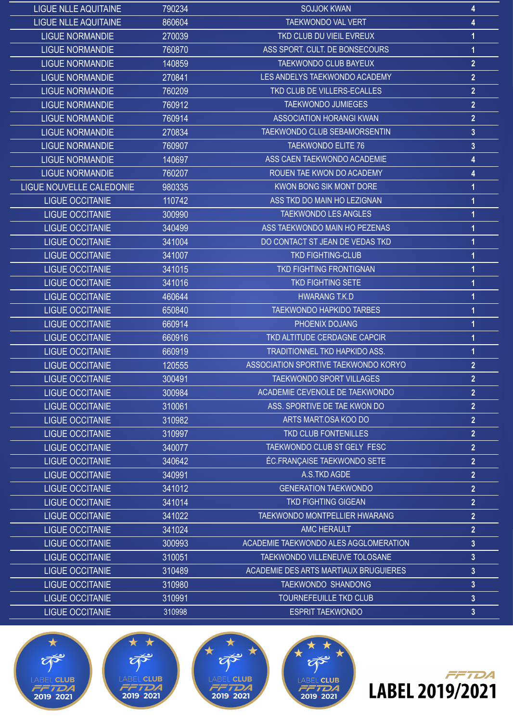| 790234<br><b>SOJJOK KWAN</b><br><b>LIGUE NLLE AQUITAINE</b>               | 4              |
|---------------------------------------------------------------------------|----------------|
| <b>LIGUE NLLE AQUITAINE</b><br>860604<br><b>TAEKWONDO VAL VERT</b>        | 4              |
| <b>LIGUE NORMANDIE</b><br>270039<br>TKD CLUB DU VIEIL EVREUX              |                |
| ASS SPORT. CULT. DE BONSECOURS<br><b>LIGUE NORMANDIE</b><br>760870        | 1              |
| TAEKWONDO CLUB BAYEUX<br><b>LIGUE NORMANDIE</b><br>140859                 | $\overline{2}$ |
| LES ANDELYS TAEKWONDO ACADEMY<br><b>LIGUE NORMANDIE</b><br>270841         | $\overline{2}$ |
| TKD CLUB DE VILLERS-ECALLES<br><b>LIGUE NORMANDIE</b><br>760209           | $\overline{2}$ |
| <b>TAEKWONDO JUMIEGES</b><br><b>LIGUE NORMANDIE</b><br>760912             | $\overline{2}$ |
| <b>ASSOCIATION HORANGI KWAN</b><br><b>LIGUE NORMANDIE</b><br>760914       | $\overline{2}$ |
| <b>LIGUE NORMANDIE</b><br>270834<br>TAEKWONDO CLUB SEBAMORSENTIN          | $\mathbf{3}$   |
| <b>LIGUE NORMANDIE</b><br><b>TAEKWONDO ELITE 76</b><br>760907             | $\overline{3}$ |
| ASS CAEN TAEKWONDO ACADEMIE<br><b>LIGUE NORMANDIE</b><br>140697           | 4              |
| ROUEN TAE KWON DO ACADEMY<br><b>LIGUE NORMANDIE</b><br>760207             | 4              |
| LIGUE NOUVELLE CALEDONIE<br>KWON BONG SIK MONT DORE<br>980335             |                |
| ASS TKD DO MAIN HO LEZIGNAN<br><b>LIGUE OCCITANIE</b><br>110742           |                |
| <b>TAEKWONDO LES ANGLES</b><br><b>LIGUE OCCITANIE</b><br>300990           |                |
| <b>LIGUE OCCITANIE</b><br>ASS TAEKWONDO MAIN HO PEZENAS<br>340499         |                |
| DO CONTACT ST JEAN DE VEDAS TKD<br><b>LIGUE OCCITANIE</b><br>341004       |                |
| <b>TKD FIGHTING-CLUB</b><br><b>LIGUE OCCITANIE</b><br>341007              |                |
| <b>LIGUE OCCITANIE</b><br>341015<br><b>TKD FIGHTING FRONTIGNAN</b>        |                |
| <b>TKD FIGHTING SETE</b><br><b>LIGUE OCCITANIE</b><br>341016              |                |
| <b>LIGUE OCCITANIE</b><br>460644<br><b>HWARANG T.K.D</b>                  |                |
| <b>LIGUE OCCITANIE</b><br><b>TAEKWONDO HAPKIDO TARBES</b><br>650840       |                |
| <b>LIGUE OCCITANIE</b><br>660914<br>PHOENIX DOJANG                        |                |
| <b>LIGUE OCCITANIE</b><br>660916<br>TKD ALTITUDE CERDAGNE CAPCIR          |                |
| <b>LIGUE OCCITANIE</b><br><b>TRADITIONNEL TKD HAPKIDO ASS.</b><br>660919  | 1              |
| <b>LIGUE OCCITANIE</b><br>ASSOCIATION SPORTIVE TAEKWONDO KORYO<br>120555  | $\overline{2}$ |
| <b>LIGUE OCCITANIE</b><br>300491<br><b>TAEKWONDO SPORT VILLAGES</b>       | $\overline{2}$ |
| <b>LIGUE OCCITANIE</b><br>300984<br>ACADEMIE CEVENOLE DE TAEKWONDO        | $\overline{2}$ |
| <b>LIGUE OCCITANIE</b><br>ASS. SPORTIVE DE TAE KWON DO<br>310061          | $\overline{2}$ |
| <b>LIGUE OCCITANIE</b><br>ARTS MART.OSA KOO DO<br>310982                  | $\overline{2}$ |
| <b>LIGUE OCCITANIE</b><br>310997<br>TKD CLUB FONTENILLES                  | $\overline{2}$ |
| TAEKWONDO CLUB ST GELY FESC<br><b>LIGUE OCCITANIE</b><br>340077           | $\overline{2}$ |
| <b>ÉC.FRANÇAISE TAEKWONDO SETE</b><br><b>LIGUE OCCITANIE</b><br>340642    | $\overline{2}$ |
| <b>LIGUE OCCITANIE</b><br>340991<br>A.S.TKD AGDE                          | $\overline{2}$ |
| <b>LIGUE OCCITANIE</b><br><b>GENERATION TAEKWONDO</b><br>341012           | $\overline{2}$ |
| <b>LIGUE OCCITANIE</b><br><b>TKD FIGHTING GIGEAN</b><br>341014            | $\overline{2}$ |
| <b>TAEKWONDO MONTPELLIER HWARANG</b><br><b>LIGUE OCCITANIE</b><br>341022  | $\overline{2}$ |
| <b>LIGUE OCCITANIE</b><br>341024<br><b>AMC HERAULT</b>                    | $\overline{2}$ |
| <b>LIGUE OCCITANIE</b><br>300993<br>ACADEMIE TAEKWONDO ALES AGGLOMERATION | $\overline{3}$ |
| <b>LIGUE OCCITANIE</b><br>310051<br>TAEKWONDO VILLENEUVE TOLOSANE         | $\overline{3}$ |
| <b>LIGUE OCCITANIE</b><br>ACADEMIE DES ARTS MARTIAUX BRUGUIERES<br>310489 | $\mathbf{3}$   |
| <b>LIGUE OCCITANIE</b><br>310980<br><b>TAEKWONDO SHANDONG</b>             | $\overline{3}$ |
| <b>LIGUE OCCITANIE</b><br>310991<br>TOURNEFEUILLE TKD CLUB                | $\mathbf{3}$   |
| <b>LIGUE OCCITANIE</b><br><b>ESPRIT TAEKWONDO</b><br>310998               | $\mathbf{3}$   |